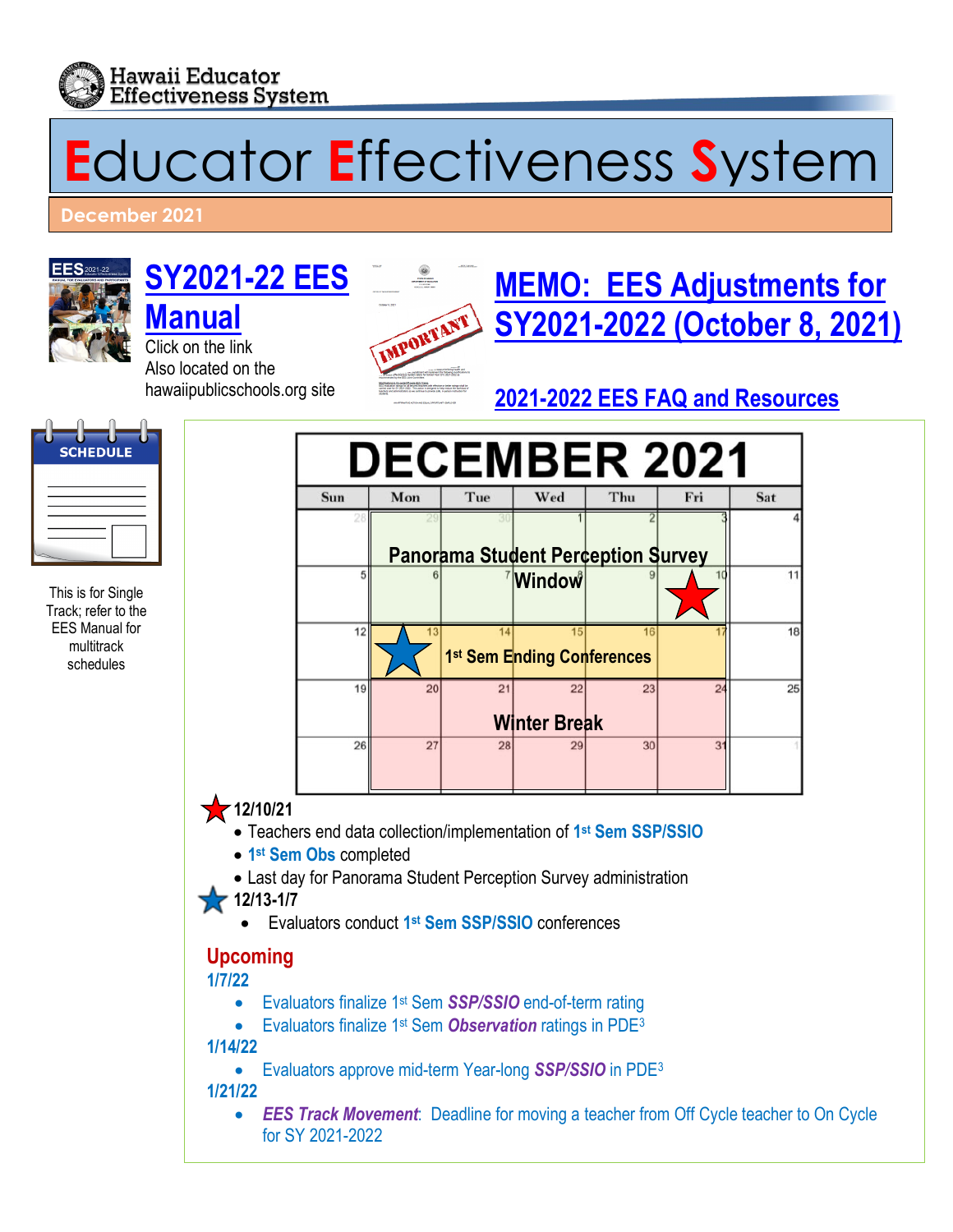

# **E**ducator **E**ffectiveness **S**ystem

**December 2021** 



This is for Single Track; refer to the EES Manual for multitrack schedules

**SCHEDULE** 

# **[SY2021-22](http://www.hawaiipublicschools.org/DOE%20Forms/Educator%20Effectivness/EESManual.pdf) EES**

**[Manual](http://www.hawaiipublicschools.org/DOE%20Forms/Educator%20Effectivness/EESManual.pdf)** Click on the link Also located on the hawaiipublicschools.org site



# **[MEMO: EES Adjustments for](https://alala1.k12.hi.us/PUBLIC/DOEMEMOS.NSF/c43efd5c660087e10a2575cf0064fb92/e79bef91bac0a9c70a25876800668e3e/$FILE/41113.pdf) [SY2021-2022 \(October 8, 2021\)](https://alala1.k12.hi.us/PUBLIC/DOEMEMOS.NSF/c43efd5c660087e10a2575cf0064fb92/e79bef91bac0a9c70a25876800668e3e/$FILE/41113.pdf)**

## **[2021-2022 EES FAQ and Resources](https://drive.google.com/drive/folders/1H8KaCLiHSlMp63cTnfqEYtqOarR5onfK)**



- Evaluators approve mid-term Year-long *SSP/SSIO* in PDE3
- **1/21/22**
	- *EES Track Movement:* Deadline for moving a teacher from Off Cycle teacher to On Cycle for SY 2021-2022